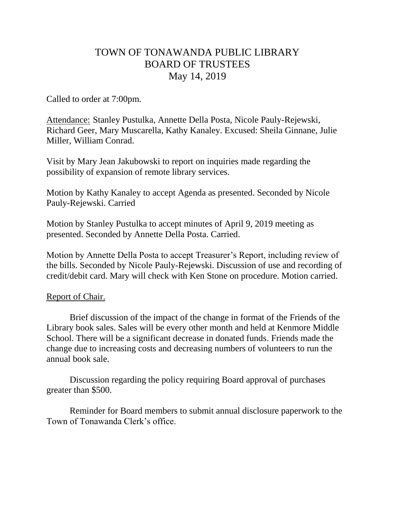# TOWN OF TONAWANDA PUBLIC LIBRARY BOARD OF TRUSTEES May 14, 2019

Called to order at 7:00pm.

Attendance: Stanley Pustulka, Annette Della Posta, Nicole Pauly-Rejewski, Richard Geer, Mary Muscarella, Kathy Kanaley. Excused: Sheila Ginnane, Julie Miller, William Conrad.

Visit by Mary Jean Jakubowski to report on inquiries made regarding the possibility of expansion of remote library services.

Motion by Kathy Kanaley to accept Agenda as presented. Seconded by Nicole Pauly-Rejewski. Carried

Motion by Stanley Pustulka to accept minutes of April 9, 2019 meeting as presented. Seconded by Annette Della Posta. Carried.

Motion by Annette Della Posta to accept Treasurer's Report, including review of the bills. Seconded by Nicole Pauly-Rejewski. Discussion of use and recording of credit/debit card. Mary will check with Ken Stone on procedure. Motion carried.

# Report of Chair.

Brief discussion of the impact of the change in format of the Friends of the Library book sales. Sales will be every other month and held at Kenmore Middle School. There will be a significant decrease in donated funds. Friends made the change due to increasing costs and decreasing numbers of volunteers to run the annual book sale.

Discussion regarding the policy requiring Board approval of purchases greater than \$500.

Reminder for Board members to submit annual disclosure paperwork to the Town of Tonawanda Clerk's office.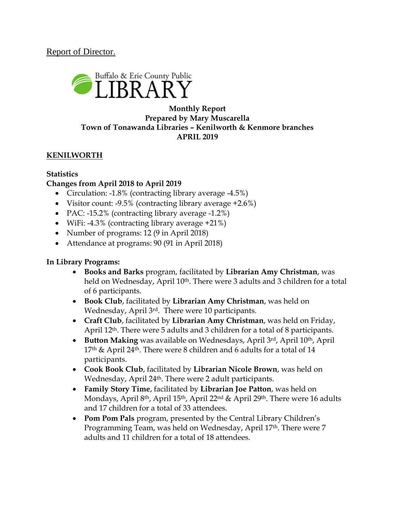# Report of Director.



## **Monthly Report Prepared by Mary Muscarella Town of Tonawanda Libraries – Kenilworth & Kenmore branches APRIL 2019**

## **KENILWORTH**

#### **Statistics Changes from April 2018 to April 2019**

- Circulation: -1.8% (contracting library average -4.5%)
- Visitor count:  $-9.5\%$  (contracting library average  $+2.6\%$ )
- PAC: -15.2% (contracting library average -1.2%)
- WiFi: -4.3% (contracting library average +21%)
- Number of programs: 12 (9 in April 2018)
- Attendance at programs: 90 (91 in April 2018)

#### **In Library Programs:**

- **Books and Barks** program, facilitated by **Librarian Amy Christman**, was held on Wednesday, April 10<sup>th</sup>. There were 3 adults and 3 children for a total of 6 participants.
- **Book Club**, facilitated by **Librarian Amy Christman**, was held on Wednesday, April 3rd. There were 10 participants.
- **Craft Club**, facilitated by **Librarian Amy Christman**, was held on Friday, April 12th. There were 5 adults and 3 children for a total of 8 participants.
- **Button Making** was available on Wednesdays, April 3rd, April 10th, April  $17<sup>th</sup>$  & April 24<sup>th</sup>. There were 8 children and 6 adults for a total of 14 participants.
- **Cook Book Club**, facilitated by **Librarian Nicole Brown**, was held on Wednesday, April 24th. There were 2 adult participants.
- **Family Story Time**, facilitated by **Librarian Joe Patton**, was held on Mondays, April 8<sup>th</sup>, April 15<sup>th</sup>, April 22<sup>nd</sup> & April 29<sup>th</sup>. There were 16 adults and 17 children for a total of 33 attendees.
- **Pom Pom Pals** program, presented by the Central Library Children's Programming Team, was held on Wednesday, April 17<sup>th</sup>. There were 7 adults and 11 children for a total of 18 attendees.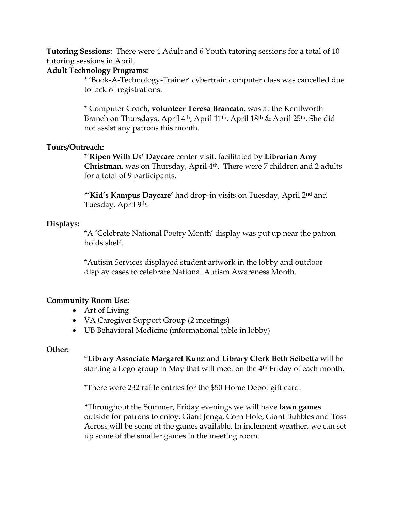**Tutoring Sessions:** There were 4 Adult and 6 Youth tutoring sessions for a total of 10 tutoring sessions in April.

#### **Adult Technology Programs:**

\* 'Book-A-Technology-Trainer' cybertrain computer class was cancelled due to lack of registrations.

\* Computer Coach, **volunteer Teresa Brancato**, was at the Kenilworth Branch on Thursdays, April 4th, April 11th, April 18th & April 25th. She did not assist any patrons this month.

#### **Tours/Outreach:**

\*'**Ripen With Us' Daycare** center visit, facilitated by **Librarian Amy Christman**, was on Thursday, April 4<sup>th</sup>. There were 7 children and 2 adults for a total of 9 participants.

**\*'Kid's Kampus Daycare'** had drop-in visits on Tuesday, April 2nd and Tuesday, April 9th.

#### **Displays:**

\*A 'Celebrate National Poetry Month' display was put up near the patron holds shelf.

\*Autism Services displayed student artwork in the lobby and outdoor display cases to celebrate National Autism Awareness Month.

#### **Community Room Use:**

- Art of Living
- VA Caregiver Support Group (2 meetings)
- UB Behavioral Medicine (informational table in lobby)

#### **Other:**

**\*Library Associate Margaret Kunz** and **Library Clerk Beth Scibetta** will be starting a Lego group in May that will meet on the 4<sup>th</sup> Friday of each month.

\*There were 232 raffle entries for the \$50 Home Depot gift card.

**\***Throughout the Summer, Friday evenings we will have **lawn games** outside for patrons to enjoy. Giant Jenga, Corn Hole, Giant Bubbles and Toss Across will be some of the games available. In inclement weather, we can set up some of the smaller games in the meeting room.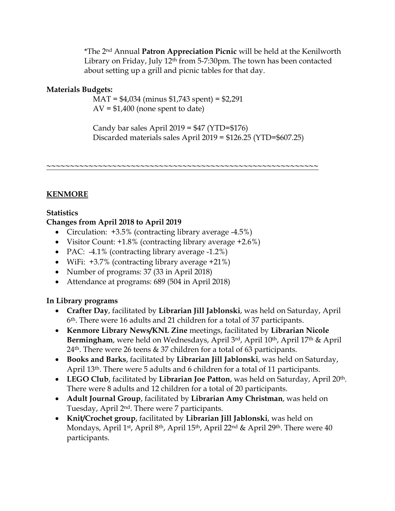\*The 2nd Annual **Patron Appreciation Picnic** will be held at the Kenilworth Library on Friday, July 12<sup>th</sup> from 5-7:30pm. The town has been contacted about setting up a grill and picnic tables for that day.

#### **Materials Budgets:**

MAT = \$4,034 (minus \$1,743 spent) = \$2,291  $AV = $1,400$  (none spent to date)

Candy bar sales April  $2019 = $47$  (YTD= $$176$ ) Discarded materials sales April 2019 = \$126.25 (YTD=\$607.25)

**~~~~~~~~~~~~~~~~~~~~~~~~~~~~~~~~~~~~~~~~~~~~~~~~~~~~~~~~~~**

## **KENMORE**

## **Statistics**

#### **Changes from April 2018 to April 2019**

- Circulation:  $+3.5\%$  (contracting library average -4.5%)
- Visitor Count: +1.8% (contracting library average +2.6%)
- PAC: -4.1% (contracting library average -1.2%)
- WiFi: +3.7% (contracting library average +21%)
- Number of programs: 37 (33 in April 2018)
- Attendance at programs: 689 (504 in April 2018)

#### **In Library programs**

- **Crafter Day**, facilitated by **Librarian Jill Jablonski**, was held on Saturday, April 6th. There were 16 adults and 21 children for a total of 37 participants.
- **Kenmore Library News/KNL Zine** meetings, facilitated by **Librarian Nicole Bermingham**, were held on Wednesdays, April 3rd, April 10th, April 17th & April 24th. There were 26 teens & 37 children for a total of 63 participants.
- **Books and Barks**, facilitated by **Librarian Jill Jablonski**, was held on Saturday, April 13th. There were 5 adults and 6 children for a total of 11 participants.
- **LEGO Club**, facilitated by **Librarian Joe Patton**, was held on Saturday, April 20th. There were 8 adults and 12 children for a total of 20 participants.
- **Adult Journal Group**, facilitated by **Librarian Amy Christman**, was held on Tuesday, April 2nd. There were 7 participants.
- **Knit/Crochet group**, facilitated by **Librarian Jill Jablonski**, was held on Mondays, April 1<sup>st</sup>, April 8<sup>th</sup>, April 15<sup>th</sup>, April 22<sup>nd</sup> & April 29<sup>th</sup>. There were 40 participants.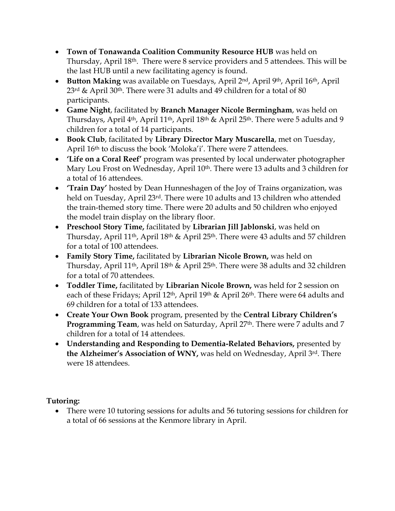- **Town of Tonawanda Coalition Community Resource HUB** was held on Thursday, April 18th. There were 8 service providers and 5 attendees. This will be the last HUB until a new facilitating agency is found.
- **Button Making** was available on Tuesdays, April 2<sup>nd</sup>, April 9<sup>th</sup>, April 16<sup>th</sup>, April 23rd & April 30th. There were 31 adults and 49 children for a total of 80 participants.
- **Game Night**, facilitated by **Branch Manager Nicole Bermingham**, was held on Thursdays, April 4<sup>th</sup>, April 11<sup>th</sup>, April 18<sup>th</sup> & April 25<sup>th</sup>. There were 5 adults and 9 children for a total of 14 participants.
- **Book Club**, facilitated by **Library Director Mary Muscarella**, met on Tuesday, April 16th to discuss the book 'Moloka'i'. There were 7 attendees.
- **'Life on a Coral Reef'** program was presented by local underwater photographer Mary Lou Frost on Wednesday, April 10<sup>th</sup>. There were 13 adults and 3 children for a total of 16 attendees.
- **'Train Day'** hosted by Dean Hunneshagen of the Joy of Trains organization, was held on Tuesday, April 23rd. There were 10 adults and 13 children who attended the train-themed story time. There were 20 adults and 50 children who enjoyed the model train display on the library floor.
- **Preschool Story Time,** facilitated by **Librarian Jill Jablonski**, was held on Thursday, April 11<sup>th</sup>, April 18<sup>th</sup> & April 25<sup>th</sup>. There were 43 adults and 57 children for a total of 100 attendees.
- **Family Story Time,** facilitated by **Librarian Nicole Brown,** was held on Thursday, April 11th, April 18th & April 25th. There were 38 adults and 32 children for a total of 70 attendees.
- **Toddler Time,** facilitated by **Librarian Nicole Brown,** was held for 2 session on each of these Fridays; April 12th, April 19th & April 26th. There were 64 adults and 69 children for a total of 133 attendees.
- **Create Your Own Book** program, presented by the **Central Library Children's Programming Team**, was held on Saturday, April 27th. There were 7 adults and 7 children for a total of 14 attendees.
- **Understanding and Responding to Dementia-Related Behaviors,** presented by **the Alzheimer's Association of WNY,** was held on Wednesday, April 3rd. There were 18 attendees.

# **Tutoring:**

 There were 10 tutoring sessions for adults and 56 tutoring sessions for children for a total of 66 sessions at the Kenmore library in April.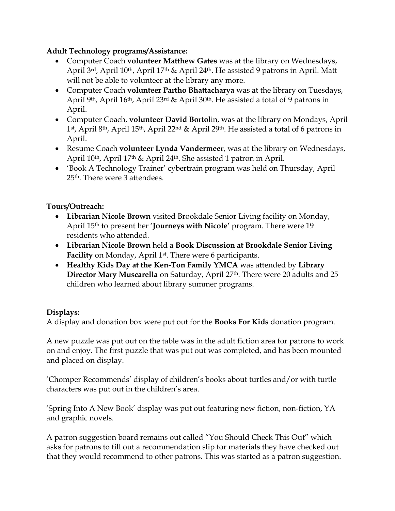## **Adult Technology programs/Assistance:**

- Computer Coach **volunteer Matthew Gates** was at the library on Wednesdays, April 3rd, April 10<sup>th</sup>, April 17<sup>th</sup> & April 24<sup>th</sup>. He assisted 9 patrons in April. Matt will not be able to volunteer at the library any more.
- Computer Coach **volunteer Partho Bhattacharya** was at the library on Tuesdays, April 9th, April 16th, April 23rd & April 30th. He assisted a total of 9 patrons in April.
- Computer Coach, **volunteer David Borto**lin, was at the library on Mondays, April 1st, April 8th, April 15th, April 22nd & April 29th. He assisted a total of 6 patrons in April.
- Resume Coach **volunteer Lynda Vandermeer**, was at the library on Wednesdays, April 10th, April 17th & April 24th. She assisted 1 patron in April.
- 'Book A Technology Trainer' cybertrain program was held on Thursday, April 25th. There were 3 attendees.

## **Tours/Outreach:**

- **Librarian Nicole Brown** visited Brookdale Senior Living facility on Monday, April 15th to present her '**Journeys with Nicole'** program. There were 19 residents who attended.
- **Librarian Nicole Brown** held a **Book Discussion at Brookdale Senior Living Facility** on Monday, April 1<sup>st</sup>. There were 6 participants.
- **Healthy Kids Day at the Ken-Ton Family YMCA** was attended by **Library Director Mary Muscarella** on Saturday, April 27th. There were 20 adults and 25 children who learned about library summer programs.

#### **Displays:**

A display and donation box were put out for the **Books For Kids** donation program.

A new puzzle was put out on the table was in the adult fiction area for patrons to work on and enjoy. The first puzzle that was put out was completed, and has been mounted and placed on display.

'Chomper Recommends' display of children's books about turtles and/or with turtle characters was put out in the children's area.

'Spring Into A New Book' display was put out featuring new fiction, non-fiction, YA and graphic novels.

A patron suggestion board remains out called "You Should Check This Out" which asks for patrons to fill out a recommendation slip for materials they have checked out that they would recommend to other patrons. This was started as a patron suggestion.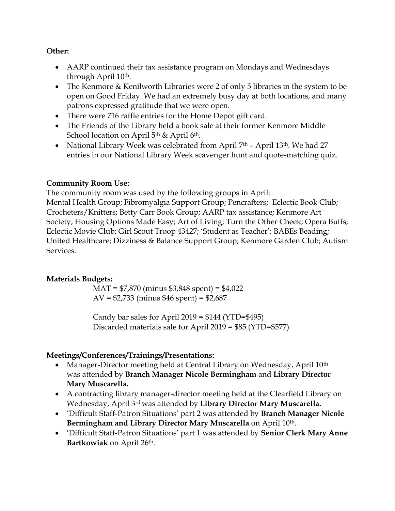#### **Other:**

- AARP continued their tax assistance program on Mondays and Wednesdays through April 10th.
- The Kenmore & Kenilworth Libraries were 2 of only 5 libraries in the system to be open on Good Friday. We had an extremely busy day at both locations, and many patrons expressed gratitude that we were open.
- There were 716 raffle entries for the Home Depot gift card.
- The Friends of the Library held a book sale at their former Kenmore Middle School location on April 5<sup>th</sup> & April 6<sup>th</sup>.
- National Library Week was celebrated from April  $7<sup>th</sup>$  April 13<sup>th</sup>. We had 27 entries in our National Library Week scavenger hunt and quote-matching quiz.

#### **Community Room Use:**

The community room was used by the following groups in April:

Mental Health Group; Fibromyalgia Support Group; Pencrafters; Eclectic Book Club; Crocheters/Knitters; Betty Carr Book Group; AARP tax assistance; Kenmore Art Society; Housing Options Made Easy; Art of Living; Turn the Other Cheek; Opera Buffs; Eclectic Movie Club; Girl Scout Troop 43427; 'Student as Teacher'; BABEs Beading; United Healthcare; Dizziness & Balance Support Group; Kenmore Garden Club; Autism Services.

# **Materials Budgets:**

MAT = \$7,870 (minus \$3,848 spent) = \$4,022 AV =  $$2,733$  (minus  $$46$  spent) =  $$2,687$ 

Candy bar sales for April  $2019 = $144$  (YTD= $$495$ ) Discarded materials sale for April 2019 = \$85 (YTD=\$577)

# **Meetings/Conferences/Trainings/Presentations:**

- Manager-Director meeting held at Central Library on Wednesday, April 10<sup>th</sup> was attended by **Branch Manager Nicole Bermingham** and **Library Director Mary Muscarella.**
- A contracting library manager-director meeting held at the Clearfield Library on Wednesday, April 3rd was attended by **Library Director Mary Muscarella.**
- 'Difficult Staff-Patron Situations' part 2 was attended by **Branch Manager Nicole Bermingham and Library Director Mary Muscarella** on April 10th.
- 'Difficult Staff-Patron Situations' part 1 was attended by **Senior Clerk Mary Anne Bartkowiak** on April 26th.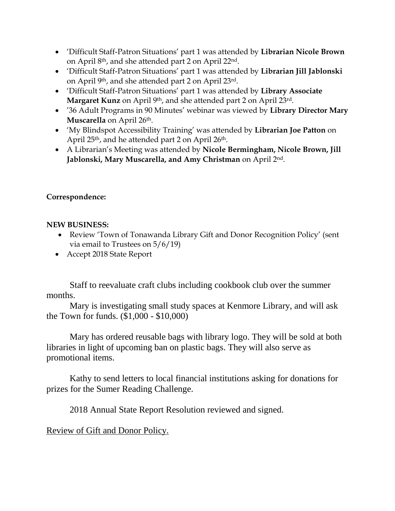- 'Difficult Staff-Patron Situations' part 1 was attended by **Librarian Nicole Brown** on April 8th, and she attended part 2 on April 22nd.
- 'Difficult Staff-Patron Situations' part 1 was attended by **Librarian Jill Jablonski** on April 9th, and she attended part 2 on April 23rd.
- 'Difficult Staff-Patron Situations' part 1 was attended by **Library Associate Margaret Kunz** on April 9th, and she attended part 2 on April 23rd.
- '36 Adult Programs in 90 Minutes' webinar was viewed by **Library Director Mary Muscarella** on April 26<sup>th</sup>.
- 'My Blindspot Accessibility Training' was attended by **Librarian Joe Patton** on April 25<sup>th</sup>, and he attended part 2 on April 26<sup>th</sup>.
- A Librarian's Meeting was attended by **Nicole Bermingham, Nicole Brown, Jill Jablonski, Mary Muscarella, and Amy Christman** on April 2nd.

## **Correspondence:**

#### **NEW BUSINESS:**

- Review 'Town of Tonawanda Library Gift and Donor Recognition Policy' (sent via email to Trustees on 5/6/19)
- Accept 2018 State Report

Staff to reevaluate craft clubs including cookbook club over the summer months.

Mary is investigating small study spaces at Kenmore Library, and will ask the Town for funds. (\$1,000 - \$10,000)

Mary has ordered reusable bags with library logo. They will be sold at both libraries in light of upcoming ban on plastic bags. They will also serve as promotional items.

Kathy to send letters to local financial institutions asking for donations for prizes for the Sumer Reading Challenge.

2018 Annual State Report Resolution reviewed and signed.

# Review of Gift and Donor Policy.